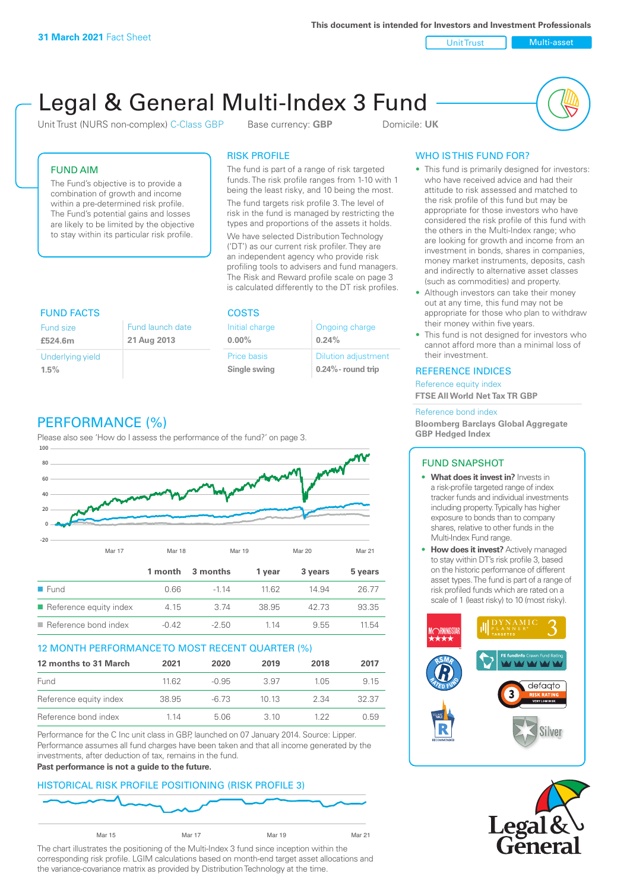**This document is intended for Investors and Investment Professionals**

Unit Trust Nulti-asset

# Legal & General Multi-Index 3 Fund

Unit Trust (NURS non-complex) C-Class GBP Base currency: **GBP** Domicile: UK



## FUND AIM

The Fund's objective is to provide a combination of growth and income within a pre-determined risk profile. The Fund's potential gains and losses are likely to be limited by the objective to stay within its particular risk profile.

### RISK PROFILE

The fund is part of a range of risk targeted funds. The risk profile ranges from 1-10 with 1 being the least risky, and 10 being the most.

The fund targets risk profile 3. The level of risk in the fund is managed by restricting the types and proportions of the assets it holds. We have selected Distribution Technology ('DT') as our current risk profiler. They are an independent agency who provide risk profiling tools to advisers and fund managers. The Risk and Reward profile scale on page 3 is calculated differently to the DT risk profiles.

| <b>FUND FACTS</b> |                  | <b>COSTS</b>   |                            |  |
|-------------------|------------------|----------------|----------------------------|--|
| Fund size         | Fund launch date | Initial charge | Ongoing charge             |  |
| £524.6m           | 21 Aug 2013      | $0.00\%$       | 0.24%                      |  |
| Underlying yield  |                  | Price basis    | <b>Dilution adjustment</b> |  |
| 1.5%              |                  | Single swing   | $0.24\%$ - round trip      |  |

# PERFORMANCE (%)

Please also see 'How do I assess the performance of the fund?' on page 3.



#### 12 MONTH PERFORMANCE TO MOST RECENT QUARTER (%)

| 12 months to 31 March  | 2021  | 2020    | 2019 | 2018 | 2017  |
|------------------------|-------|---------|------|------|-------|
| Fund                   | 11.62 | $-0.95$ | 3.97 | 105  | 9.15  |
| Reference equity index | 38.95 | -6.73   | 1013 | 2.34 | 32.37 |
| Reference bond index   | 1 14  | 5.06    | 310  | 1 22 | 0.59  |

Performance for the C Inc unit class in GBP, launched on 07 January 2014. Source: Lipper. Performance assumes all fund charges have been taken and that all income generated by the investments, after deduction of tax, remains in the fund.

#### **Past performance is not a guide to the future.**

#### HISTORICAL RISK PROFILE POSITIONING (RISK PROFILE 3)



The chart illustrates the positioning of the Multi-Index 3 fund since inception within the corresponding risk profile. LGIM calculations based on month-end target asset allocations and the variance-covariance matrix as provided by Distribution Technology at the time.

# WHO IS THIS FUND FOR?

- This fund is primarily designed for investors: who have received advice and had their attitude to risk assessed and matched to the risk profile of this fund but may be appropriate for those investors who have considered the risk profile of this fund with the others in the Multi-Index range; who are looking for growth and income from an investment in bonds, shares in companies, money market instruments, deposits, cash and indirectly to alternative asset classes (such as commodities) and property.
- Although investors can take their money out at any time, this fund may not be appropriate for those who plan to withdraw their money within five years.
- This fund is not designed for investors who cannot afford more than a minimal loss of their investment.

#### REFERENCE INDICES

Reference equity index **FTSE All World Net Tax TR GBP**

#### Reference bond index

**Bloomberg Barclays Global Aggregate GBP Hedged Index**

#### FUND SNAPSHOT

- **• What does it invest in?** Invests in a risk-profile targeted range of index tracker funds and individual investments including property. Typically has higher exposure to bonds than to company shares, relative to other funds in the Multi-Index Fund range.
- **• How does it invest?** Actively managed to stay within DT's risk profile 3, based on the historic performance of different asset types. The fund is part of a range of risk profiled funds which are rated on a scale of 1 (least risky) to 10 (most risky).



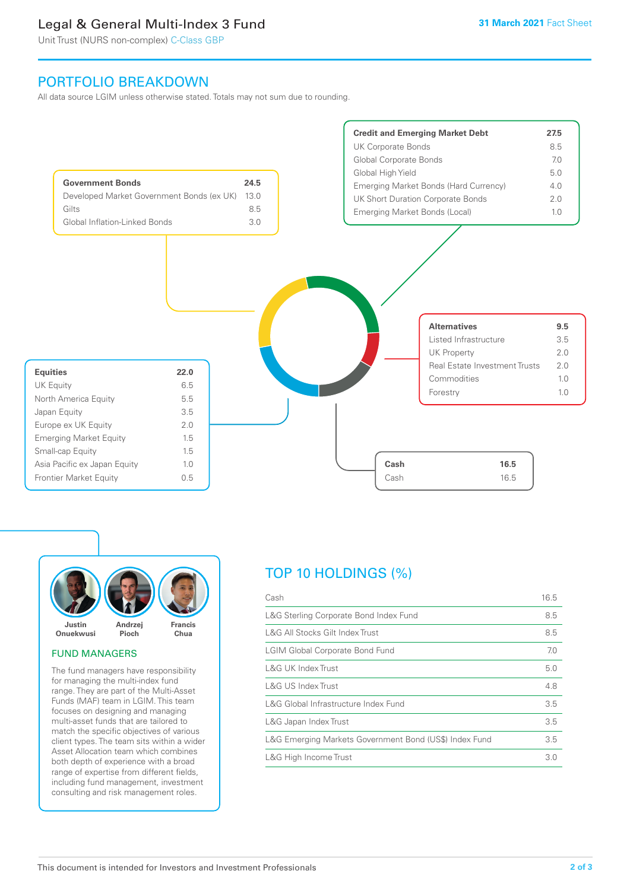# Legal & General Multi-Index 3 Fund

Unit Trust (NURS non-complex) C-Class GBP

# PORTFOLIO BREAKDOWN

All data source LGIM unless otherwise stated. Totals may not sum due to rounding.





#### FUND MANAGERS

The fund managers have responsibility for managing the multi-index fund range. They are part of the Multi-Asset Funds (MAF) team in LGIM. This team focuses on designing and managing multi-asset funds that are tailored to match the specific objectives of various client types. The team sits within a wider Asset Allocation team which combines both depth of experience with a broad range of expertise from different fields, including fund management, investment consulting and risk management roles.

# TOP 10 HOLDINGS (%)

| Cash                                                   | 16.5 |
|--------------------------------------------------------|------|
| L&G Sterling Corporate Bond Index Fund                 | 8.5  |
| L&G All Stocks Gilt Index Trust                        | 8.5  |
| <b>LGIM Global Corporate Bond Fund</b>                 | 7.0  |
| L&G UK Index Trust                                     | 5.0  |
| <b>L&amp;G US Index Trust</b>                          | 4.8  |
| L&G Global Infrastructure Index Fund                   | 3.5  |
| L&G Japan Index Trust                                  | 3.5  |
| L&G Emerging Markets Government Bond (US\$) Index Fund | 3.5  |
| L&G High Income Trust                                  | 3.0  |